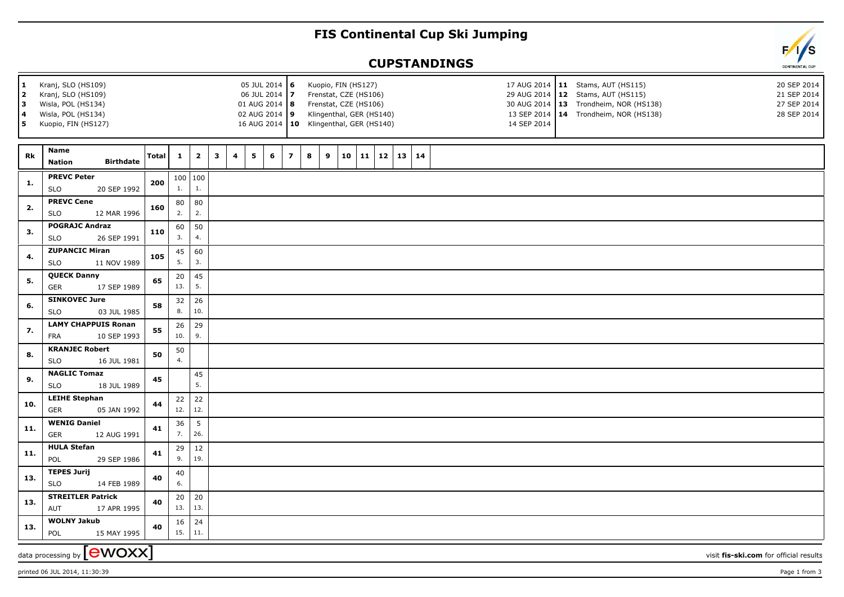## **FIS Continental Cup Ski Jumping**

## **CUPSTANDINGS**



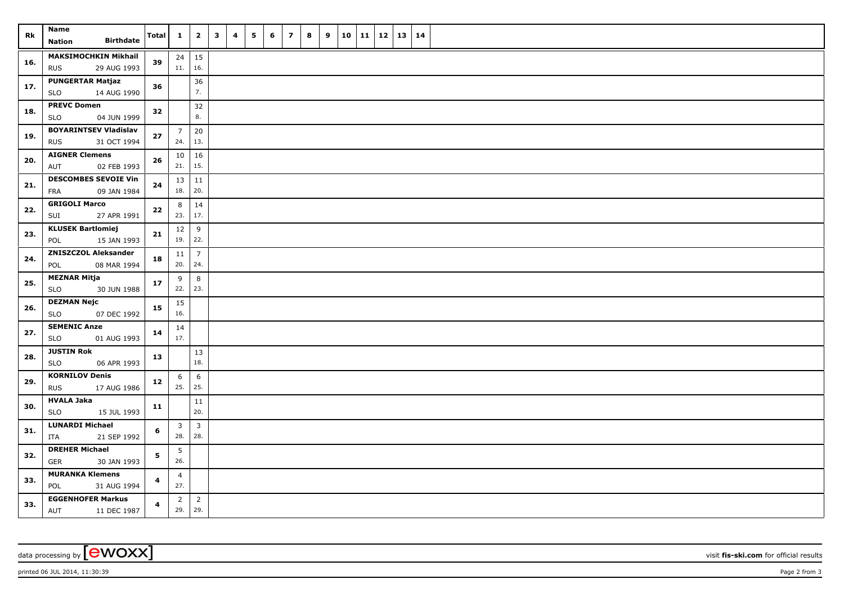| Rk  | Name<br><b>Birthdate</b><br><b>Nation</b>                 | Total      | $\mathbf{1}$                   | $\overline{2}$        | $\mathbf{3}$ | $\overline{\mathbf{4}}$ | 5 | 6 | $\overline{z}$ | 8 | 9 | 10 11 |  | $12 \mid 13 \mid 14$ |  |
|-----|-----------------------------------------------------------|------------|--------------------------------|-----------------------|--------------|-------------------------|---|---|----------------|---|---|-------|--|----------------------|--|
| 16. | <b>MAKSIMOCHKIN Mikhail</b><br><b>RUS</b><br>29 AUG 1993  | 39         | 11.   16.                      | $24 \mid 15$          |              |                         |   |   |                |   |   |       |  |                      |  |
| 17. | <b>PUNGERTAR Matjaz</b><br><b>SLO</b><br>14 AUG 1990      | 36         |                                | 36<br>7.              |              |                         |   |   |                |   |   |       |  |                      |  |
| 18. | <b>PREVC Domen</b><br>SLO<br>04 JUN 1999                  | 32         |                                | 32<br>$\bf 8.$        |              |                         |   |   |                |   |   |       |  |                      |  |
| 19. | <b>BOYARINTSEV Vladislav</b><br>31 OCT 1994<br><b>RUS</b> | 27         | $\overline{7}$<br>24.          | 20<br>13.             |              |                         |   |   |                |   |   |       |  |                      |  |
| 20. | <b>AIGNER Clemens</b><br>02 FEB 1993<br>AUT               | 26         | $10 \mid 16$<br>21.            | 15.                   |              |                         |   |   |                |   |   |       |  |                      |  |
| 21. | <b>DESCOMBES SEVOIE Vin</b><br>09 JAN 1984<br>FRA         | 24         | $13 \mid 11$<br>18.   20.      |                       |              |                         |   |   |                |   |   |       |  |                      |  |
| 22. | <b>GRIGOLI Marco</b><br>27 APR 1991<br>SUI                | 22         | 8<br>23.                       | 14<br>17.             |              |                         |   |   |                |   |   |       |  |                      |  |
| 23. | <b>KLUSEK Bartlomiej</b><br>15 JAN 1993<br>POL            | 21         | 12<br>$19.$ 22.                | $\,9$                 |              |                         |   |   |                |   |   |       |  |                      |  |
| 24. | <b>ZNISZCZOL Aleksander</b><br>POL<br>08 MAR 1994         | 18         | 11<br>20.                      | $\overline{7}$<br>24. |              |                         |   |   |                |   |   |       |  |                      |  |
| 25. | <b>MEZNAR Mitja</b><br><b>SLO</b><br>30 JUN 1988          | 17         | 9<br>22.                       | 8<br>23.              |              |                         |   |   |                |   |   |       |  |                      |  |
| 26. | <b>DEZMAN Nejc</b><br><b>SLO</b><br>07 DEC 1992           | 15         | 15<br>16.                      |                       |              |                         |   |   |                |   |   |       |  |                      |  |
| 27. | <b>SEMENIC Anze</b><br><b>SLO</b><br>01 AUG 1993          | 14         | 14<br>17.                      |                       |              |                         |   |   |                |   |   |       |  |                      |  |
| 28. | <b>JUSTIN Rok</b><br><b>SLO</b><br>06 APR 1993            | 13         |                                | 13<br>18.             |              |                         |   |   |                |   |   |       |  |                      |  |
| 29. | <b>KORNILOV Denis</b><br><b>RUS</b><br>17 AUG 1986        | ${\bf 12}$ | 6<br>25.                       | 6<br>25.              |              |                         |   |   |                |   |   |       |  |                      |  |
| 30. | <b>HVALA Jaka</b><br><b>SLO</b><br>15 JUL 1993            | 11         |                                | 11<br>20.             |              |                         |   |   |                |   |   |       |  |                      |  |
| 31. | <b>LUNARDI Michael</b><br>21 SEP 1992<br>ITA              | 6          | $\overline{\mathbf{3}}$<br>28. | $\overline{3}$<br>28. |              |                         |   |   |                |   |   |       |  |                      |  |
| 32. | <b>DREHER Michael</b><br><b>GER</b><br>30 JAN 1993        | 5          | 5<br>26.                       |                       |              |                         |   |   |                |   |   |       |  |                      |  |
| 33. | <b>MURANKA Klemens</b><br>POL<br>31 AUG 1994              | 4          | $\overline{4}$<br>27.          |                       |              |                         |   |   |                |   |   |       |  |                      |  |
| 33. | <b>EGGENHOFER Markus</b><br>11 DEC 1987<br>AUT            | 4          | $\overline{2}$<br>29.          | $\overline{2}$<br>29. |              |                         |   |   |                |   |   |       |  |                      |  |